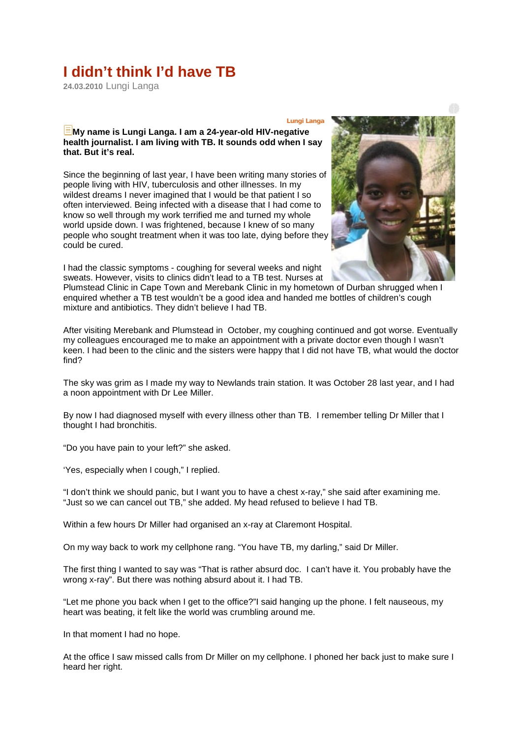## **I didn't think I'd have TB**

**24.03.2010** Lungi Langa

## **Lungi Langa My name is Lungi Langa. I am a 24-year-old HIV-negative health journalist. I am living with TB. It sounds odd when I say that. But it's real.**

Since the beginning of last year, I have been writing many stories of people living with HIV, tuberculosis and other illnesses. In my wildest dreams I never imagined that I would be that patient I so often interviewed. Being infected with a disease that I had come to know so well through my work terrified me and turned my whole world upside down. I was frightened, because I knew of so many people who sought treatment when it was too late, dying before they could be cured.

I had the classic symptoms - coughing for several weeks and night sweats. However, visits to clinics didn't lead to a TB test. Nurses at



Plumstead Clinic in Cape Town and Merebank Clinic in my hometown of Durban shrugged when I enquired whether a TB test wouldn't be a good idea and handed me bottles of children's cough mixture and antibiotics. They didn't believe I had TB.

After visiting Merebank and Plumstead in October, my coughing continued and got worse. Eventually my colleagues encouraged me to make an appointment with a private doctor even though I wasn't keen. I had been to the clinic and the sisters were happy that I did not have TB, what would the doctor find?

The sky was grim as I made my way to Newlands train station. It was October 28 last year, and I had a noon appointment with Dr Lee Miller.

By now I had diagnosed myself with every illness other than TB. I remember telling Dr Miller that I thought I had bronchitis.

"Do you have pain to your left?" she asked.

'Yes, especially when I cough," I replied.

"I don't think we should panic, but I want you to have a chest x-ray," she said after examining me. "Just so we can cancel out TB," she added. My head refused to believe I had TB.

Within a few hours Dr Miller had organised an x-ray at Claremont Hospital.

On my way back to work my cellphone rang. "You have TB, my darling," said Dr Miller.

The first thing I wanted to say was "That is rather absurd doc. I can't have it. You probably have the wrong x-ray". But there was nothing absurd about it. I had TB.

"Let me phone you back when I get to the office?"I said hanging up the phone. I felt nauseous, my heart was beating, it felt like the world was crumbling around me.

In that moment I had no hope.

At the office I saw missed calls from Dr Miller on my cellphone. I phoned her back just to make sure I heard her right.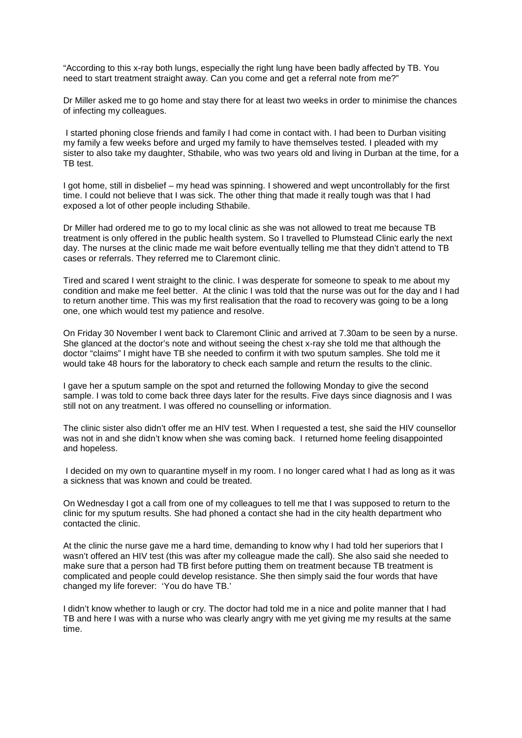"According to this x-ray both lungs, especially the right lung have been badly affected by TB. You need to start treatment straight away. Can you come and get a referral note from me?"

Dr Miller asked me to go home and stay there for at least two weeks in order to minimise the chances of infecting my colleagues.

I started phoning close friends and family I had come in contact with. I had been to Durban visiting my family a few weeks before and urged my family to have themselves tested. I pleaded with my sister to also take my daughter, Sthabile, who was two years old and living in Durban at the time, for a TB test.

I got home, still in disbelief – my head was spinning. I showered and wept uncontrollably for the first time. I could not believe that I was sick. The other thing that made it really tough was that I had exposed a lot of other people including Sthabile.

Dr Miller had ordered me to go to my local clinic as she was not allowed to treat me because TB treatment is only offered in the public health system. So I travelled to Plumstead Clinic early the next day. The nurses at the clinic made me wait before eventually telling me that they didn't attend to TB cases or referrals. They referred me to Claremont clinic.

Tired and scared I went straight to the clinic. I was desperate for someone to speak to me about my condition and make me feel better. At the clinic I was told that the nurse was out for the day and I had to return another time. This was my first realisation that the road to recovery was going to be a long one, one which would test my patience and resolve.

On Friday 30 November I went back to Claremont Clinic and arrived at 7.30am to be seen by a nurse. She glanced at the doctor's note and without seeing the chest x-ray she told me that although the doctor "claims" I might have TB she needed to confirm it with two sputum samples. She told me it would take 48 hours for the laboratory to check each sample and return the results to the clinic.

I gave her a sputum sample on the spot and returned the following Monday to give the second sample. I was told to come back three days later for the results. Five days since diagnosis and I was still not on any treatment. I was offered no counselling or information.

The clinic sister also didn't offer me an HIV test. When I requested a test, she said the HIV counsellor was not in and she didn't know when she was coming back. I returned home feeling disappointed and hopeless.

I decided on my own to quarantine myself in my room. I no longer cared what I had as long as it was a sickness that was known and could be treated.

On Wednesday I got a call from one of my colleagues to tell me that I was supposed to return to the clinic for my sputum results. She had phoned a contact she had in the city health department who contacted the clinic.

At the clinic the nurse gave me a hard time, demanding to know why I had told her superiors that I wasn't offered an HIV test (this was after my colleague made the call). She also said she needed to make sure that a person had TB first before putting them on treatment because TB treatment is complicated and people could develop resistance. She then simply said the four words that have changed my life forever: 'You do have TB.'

I didn't know whether to laugh or cry. The doctor had told me in a nice and polite manner that I had TB and here I was with a nurse who was clearly angry with me yet giving me my results at the same time.